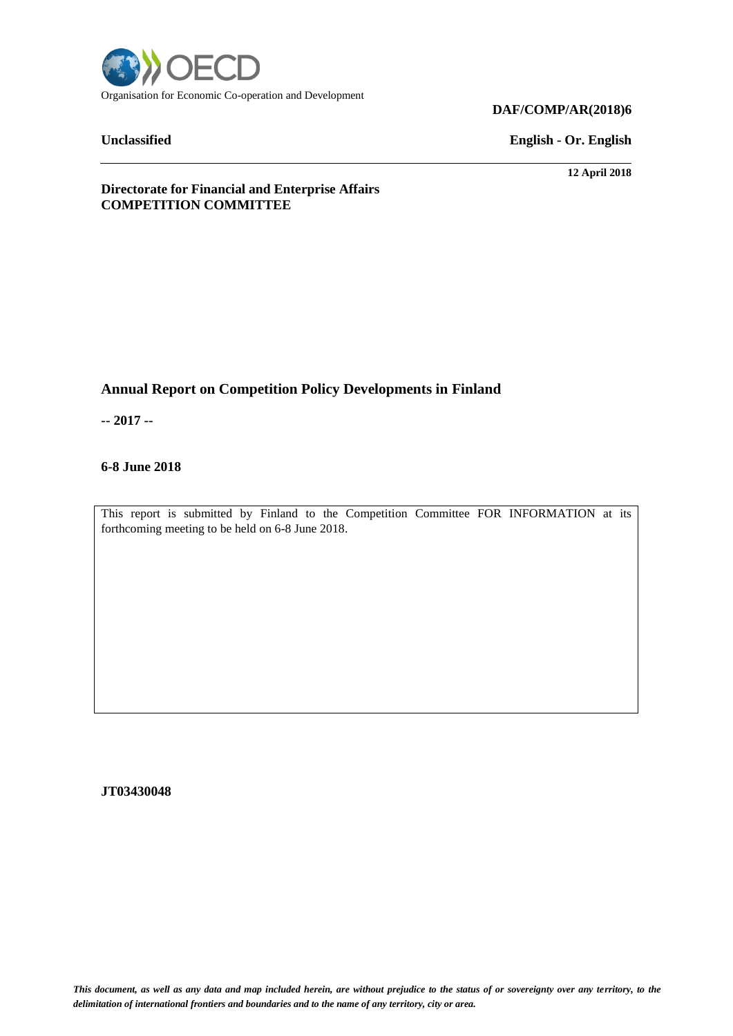

**Unclassified English - Or. English**

**12 April 2018**

**Directorate for Financial and Enterprise Affairs COMPETITION COMMITTEE**

# **Annual Report on Competition Policy Developments in Finland**

**-- 2017 --**

# **6-8 June 2018**

This report is submitted by Finland to the Competition Committee FOR INFORMATION at its forthcoming meeting to be held on 6-8 June 2018.

**JT03430048**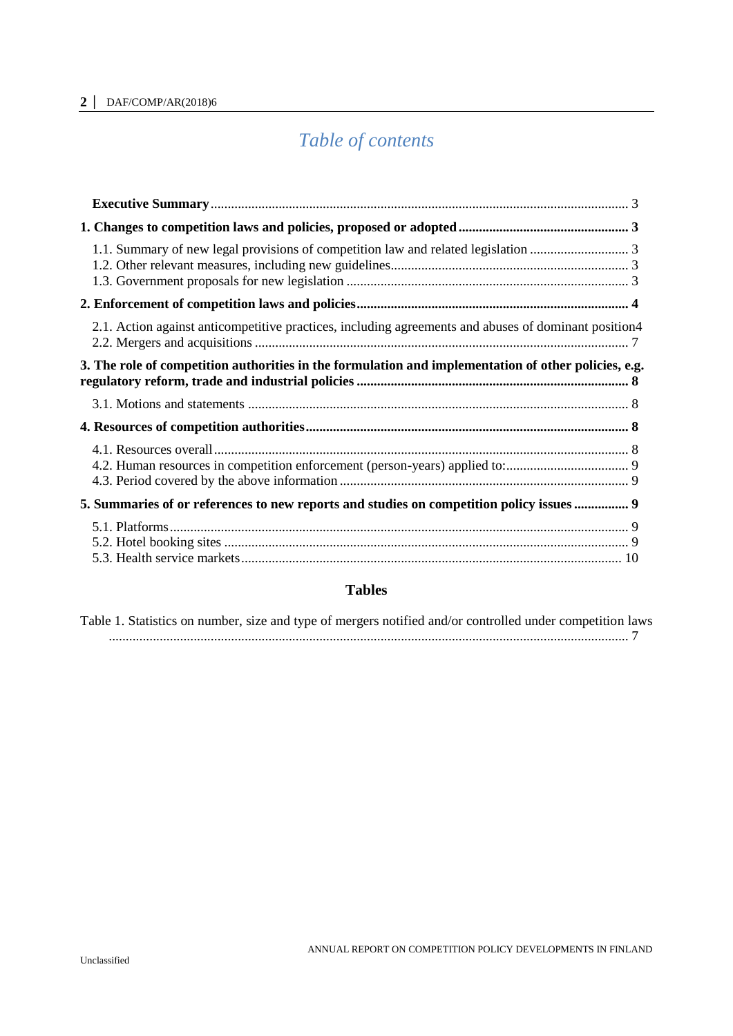# *Table of contents*

| 2.1. Action against anticompetitive practices, including agreements and abuses of dominant position4 |  |
|------------------------------------------------------------------------------------------------------|--|
| 3. The role of competition authorities in the formulation and implementation of other policies, e.g. |  |
|                                                                                                      |  |
|                                                                                                      |  |
|                                                                                                      |  |
| 5. Summaries of or references to new reports and studies on competition policy issues  9             |  |
|                                                                                                      |  |

# **Tables**

|  |  |  |  |  | Table 1. Statistics on number, size and type of mergers notified and/or controlled under competition laws |  |
|--|--|--|--|--|-----------------------------------------------------------------------------------------------------------|--|
|  |  |  |  |  |                                                                                                           |  |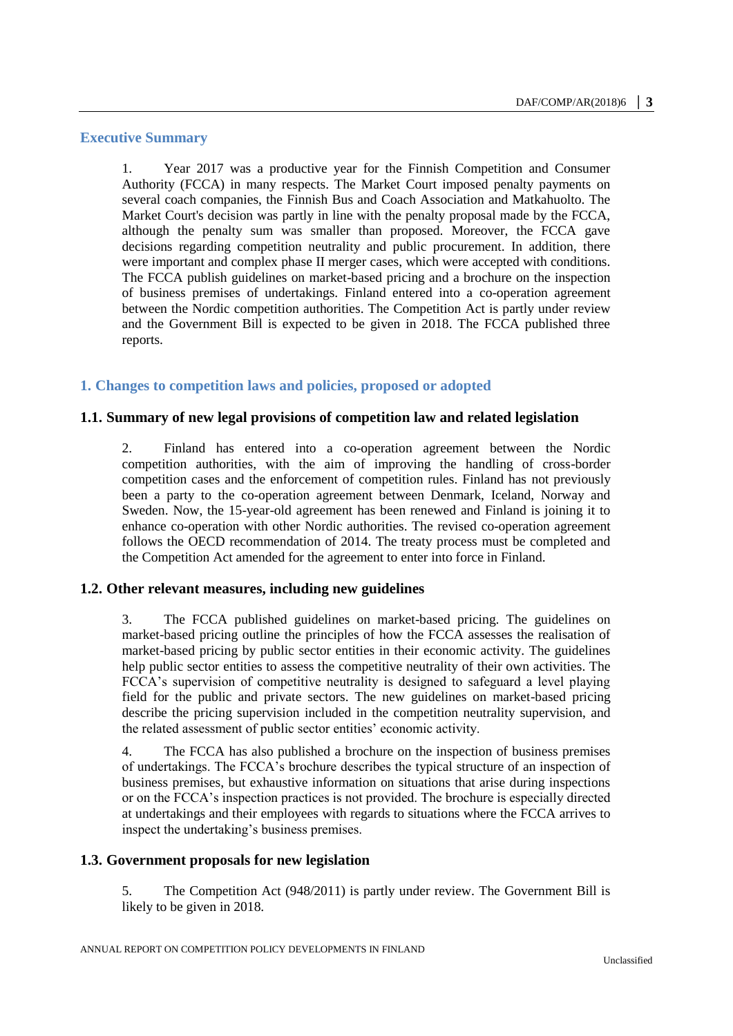# <span id="page-2-0"></span>**Executive Summary**

1. Year 2017 was a productive year for the Finnish Competition and Consumer Authority (FCCA) in many respects. The Market Court imposed penalty payments on several coach companies, the Finnish Bus and Coach Association and Matkahuolto. The Market Court's decision was partly in line with the penalty proposal made by the FCCA, although the penalty sum was smaller than proposed. Moreover, the FCCA gave decisions regarding competition neutrality and public procurement. In addition, there were important and complex phase II merger cases, which were accepted with conditions. The FCCA publish guidelines on market-based pricing and a brochure on the inspection of business premises of undertakings. Finland entered into a co-operation agreement between the Nordic competition authorities. The Competition Act is partly under review and the Government Bill is expected to be given in 2018. The FCCA published three reports.

# <span id="page-2-1"></span>**1. Changes to competition laws and policies, proposed or adopted**

# <span id="page-2-2"></span>**1.1. Summary of new legal provisions of competition law and related legislation**

2. Finland has entered into a co-operation agreement between the Nordic competition authorities, with the aim of improving the handling of cross-border competition cases and the enforcement of competition rules. Finland has not previously been a party to the co-operation agreement between Denmark, Iceland, Norway and Sweden. Now, the 15-year-old agreement has been renewed and Finland is joining it to enhance co-operation with other Nordic authorities. The revised co-operation agreement follows the OECD recommendation of 2014. The treaty process must be completed and the Competition Act amended for the agreement to enter into force in Finland.

# <span id="page-2-3"></span>**1.2. Other relevant measures, including new guidelines**

3. The FCCA published guidelines on market-based pricing. The guidelines on market-based pricing outline the principles of how the FCCA assesses the realisation of market-based pricing by public sector entities in their economic activity. The guidelines help public sector entities to assess the competitive neutrality of their own activities. The FCCA's supervision of competitive neutrality is designed to safeguard a level playing field for the public and private sectors. The new guidelines on market-based pricing describe the pricing supervision included in the competition neutrality supervision, and the related assessment of public sector entities' economic activity.

4. The FCCA has also published a brochure on the inspection of business premises of undertakings. The FCCA's brochure describes the typical structure of an inspection of business premises, but exhaustive information on situations that arise during inspections or on the FCCA's inspection practices is not provided. The brochure is especially directed at undertakings and their employees with regards to situations where the FCCA arrives to inspect the undertaking's business premises.

# <span id="page-2-4"></span>**1.3. Government proposals for new legislation**

5. The Competition Act (948/2011) is partly under review. The Government Bill is likely to be given in 2018.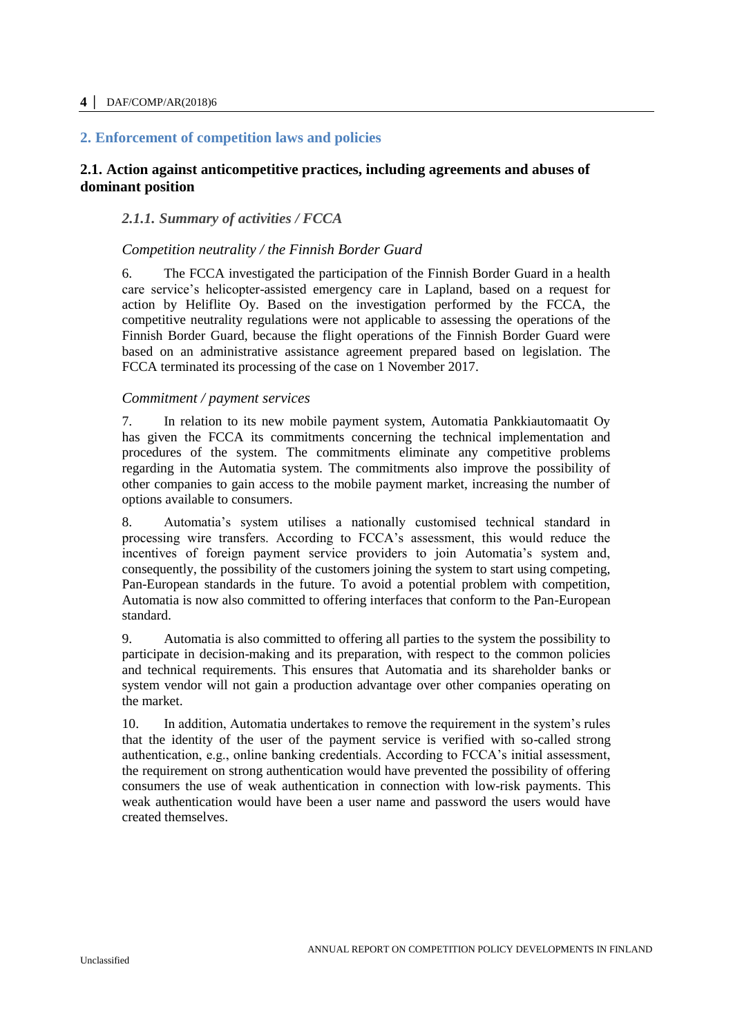# <span id="page-3-0"></span>**2. Enforcement of competition laws and policies**

# <span id="page-3-1"></span>**2.1. Action against anticompetitive practices, including agreements and abuses of dominant position**

# *2.1.1. Summary of activities / FCCA*

# *Competition neutrality / the Finnish Border Guard*

6. The FCCA investigated the participation of the Finnish Border Guard in a health care service's helicopter-assisted emergency care in Lapland, based on a request for action by Heliflite Oy. Based on the investigation performed by the FCCA, the competitive neutrality regulations were not applicable to assessing the operations of the Finnish Border Guard, because the flight operations of the Finnish Border Guard were based on an administrative assistance agreement prepared based on legislation. The FCCA terminated its processing of the case on 1 November 2017.

#### *Commitment / payment services*

7. In relation to its new mobile payment system, Automatia Pankkiautomaatit Oy has given the FCCA its commitments concerning the technical implementation and procedures of the system. The commitments eliminate any competitive problems regarding in the Automatia system. The commitments also improve the possibility of other companies to gain access to the mobile payment market, increasing the number of options available to consumers.

8. Automatia's system utilises a nationally customised technical standard in processing wire transfers. According to FCCA's assessment, this would reduce the incentives of foreign payment service providers to join Automatia's system and, consequently, the possibility of the customers joining the system to start using competing, Pan-European standards in the future. To avoid a potential problem with competition, Automatia is now also committed to offering interfaces that conform to the Pan-European standard.

9. Automatia is also committed to offering all parties to the system the possibility to participate in decision-making and its preparation, with respect to the common policies and technical requirements. This ensures that Automatia and its shareholder banks or system vendor will not gain a production advantage over other companies operating on the market.

10. In addition, Automatia undertakes to remove the requirement in the system's rules that the identity of the user of the payment service is verified with so-called strong authentication, e.g., online banking credentials. According to FCCA's initial assessment, the requirement on strong authentication would have prevented the possibility of offering consumers the use of weak authentication in connection with low-risk payments. This weak authentication would have been a user name and password the users would have created themselves.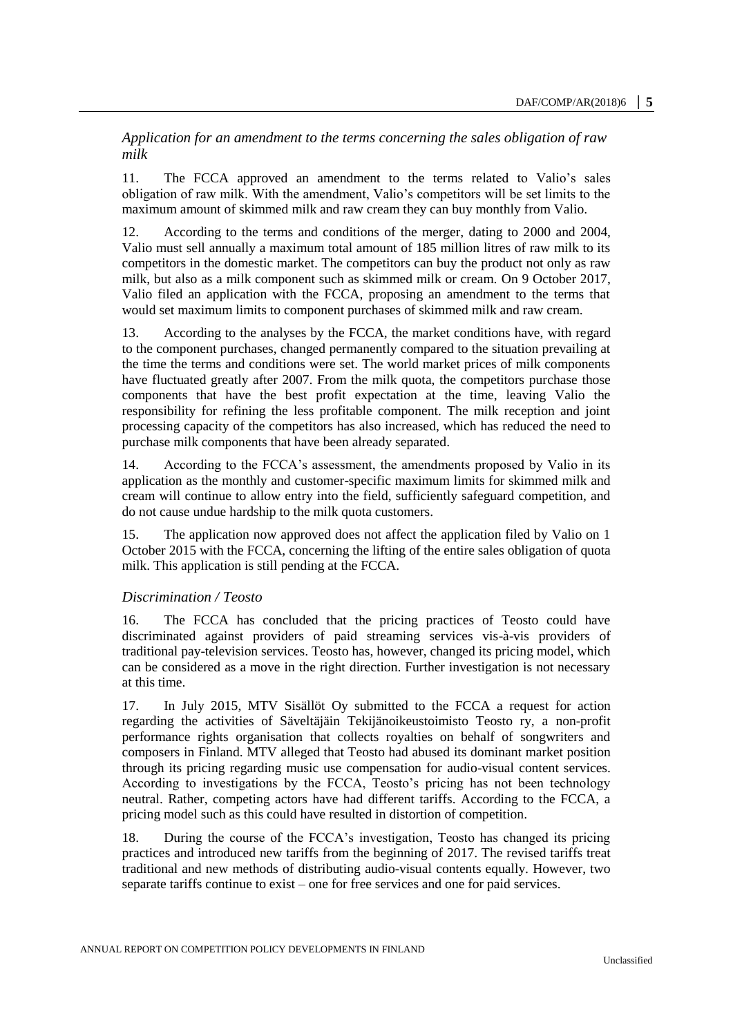*Application for an amendment to the terms concerning the sales obligation of raw milk*

11. The FCCA approved an amendment to the terms related to Valio's sales obligation of raw milk. With the amendment, Valio's competitors will be set limits to the maximum amount of skimmed milk and raw cream they can buy monthly from Valio.

12. According to the terms and conditions of the merger, dating to 2000 and 2004, Valio must sell annually a maximum total amount of 185 million litres of raw milk to its competitors in the domestic market. The competitors can buy the product not only as raw milk, but also as a milk component such as skimmed milk or cream. On 9 October 2017, Valio filed an application with the FCCA, proposing an amendment to the terms that would set maximum limits to component purchases of skimmed milk and raw cream.

13. According to the analyses by the FCCA, the market conditions have, with regard to the component purchases, changed permanently compared to the situation prevailing at the time the terms and conditions were set. The world market prices of milk components have fluctuated greatly after 2007. From the milk quota, the competitors purchase those components that have the best profit expectation at the time, leaving Valio the responsibility for refining the less profitable component. The milk reception and joint processing capacity of the competitors has also increased, which has reduced the need to purchase milk components that have been already separated.

14. According to the FCCA's assessment, the amendments proposed by Valio in its application as the monthly and customer-specific maximum limits for skimmed milk and cream will continue to allow entry into the field, sufficiently safeguard competition, and do not cause undue hardship to the milk quota customers.

15. The application now approved does not affect the application filed by Valio on 1 October 2015 with the FCCA, concerning the lifting of the entire sales obligation of quota milk. This application is still pending at the FCCA.

# *Discrimination / Teosto*

16. The FCCA has concluded that the pricing practices of Teosto could have discriminated against providers of paid streaming services vis-à-vis providers of traditional pay-television services. Teosto has, however, changed its pricing model, which can be considered as a move in the right direction. Further investigation is not necessary at this time.

17. In July 2015, MTV Sisällöt Oy submitted to the FCCA a request for action regarding the activities of Säveltäjäin Tekijänoikeustoimisto Teosto ry, a non-profit performance rights organisation that collects royalties on behalf of songwriters and composers in Finland. MTV alleged that Teosto had abused its dominant market position through its pricing regarding music use compensation for audio-visual content services. According to investigations by the FCCA, Teosto's pricing has not been technology neutral. Rather, competing actors have had different tariffs. According to the FCCA, a pricing model such as this could have resulted in distortion of competition.

18. During the course of the FCCA's investigation, Teosto has changed its pricing practices and introduced new tariffs from the beginning of 2017. The revised tariffs treat traditional and new methods of distributing audio-visual contents equally. However, two separate tariffs continue to exist – one for free services and one for paid services.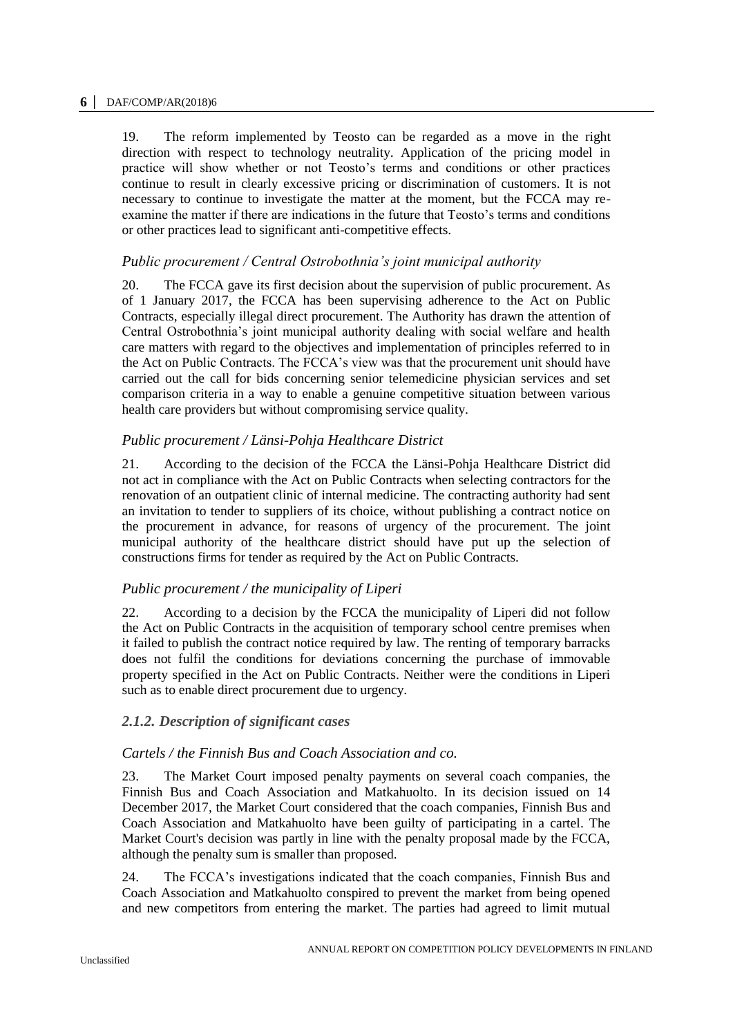19. The reform implemented by Teosto can be regarded as a move in the right direction with respect to technology neutrality. Application of the pricing model in practice will show whether or not Teosto's terms and conditions or other practices continue to result in clearly excessive pricing or discrimination of customers. It is not necessary to continue to investigate the matter at the moment, but the FCCA may reexamine the matter if there are indications in the future that Teosto's terms and conditions or other practices lead to significant anti-competitive effects.

# *Public procurement / Central Ostrobothnia's joint municipal authority*

20. The FCCA gave its first decision about the supervision of public procurement. As of 1 January 2017, the FCCA has been supervising adherence to the Act on Public Contracts, especially illegal direct procurement. The Authority has drawn the attention of Central Ostrobothnia's joint municipal authority dealing with social welfare and health care matters with regard to the objectives and implementation of principles referred to in the Act on Public Contracts. The FCCA's view was that the procurement unit should have carried out the call for bids concerning senior telemedicine physician services and set comparison criteria in a way to enable a genuine competitive situation between various health care providers but without compromising service quality.

# *Public procurement / Länsi-Pohja Healthcare District*

21. According to the decision of the FCCA the Länsi-Pohja Healthcare District did not act in compliance with the Act on Public Contracts when selecting contractors for the renovation of an outpatient clinic of internal medicine. The contracting authority had sent an invitation to tender to suppliers of its choice, without publishing a contract notice on the procurement in advance, for reasons of urgency of the procurement. The joint municipal authority of the healthcare district should have put up the selection of constructions firms for tender as required by the Act on Public Contracts.

# *Public procurement / the municipality of Liperi*

22. According to a decision by the FCCA the municipality of Liperi did not follow the Act on Public Contracts in the acquisition of temporary school centre premises when it failed to publish the contract notice required by law. The renting of temporary barracks does not fulfil the conditions for deviations concerning the purchase of immovable property specified in the Act on Public Contracts. Neither were the conditions in Liperi such as to enable direct procurement due to urgency.

# *2.1.2. Description of significant cases*

# *Cartels / the Finnish Bus and Coach Association and co.*

23. The Market Court imposed penalty payments on several coach companies, the Finnish Bus and Coach Association and Matkahuolto. In its decision issued on 14 December 2017, the Market Court considered that the coach companies, Finnish Bus and Coach Association and Matkahuolto have been guilty of participating in a cartel. The Market Court's decision was partly in line with the penalty proposal made by the FCCA, although the penalty sum is smaller than proposed.

24. The FCCA's investigations indicated that the coach companies, Finnish Bus and Coach Association and Matkahuolto conspired to prevent the market from being opened and new competitors from entering the market. The parties had agreed to limit mutual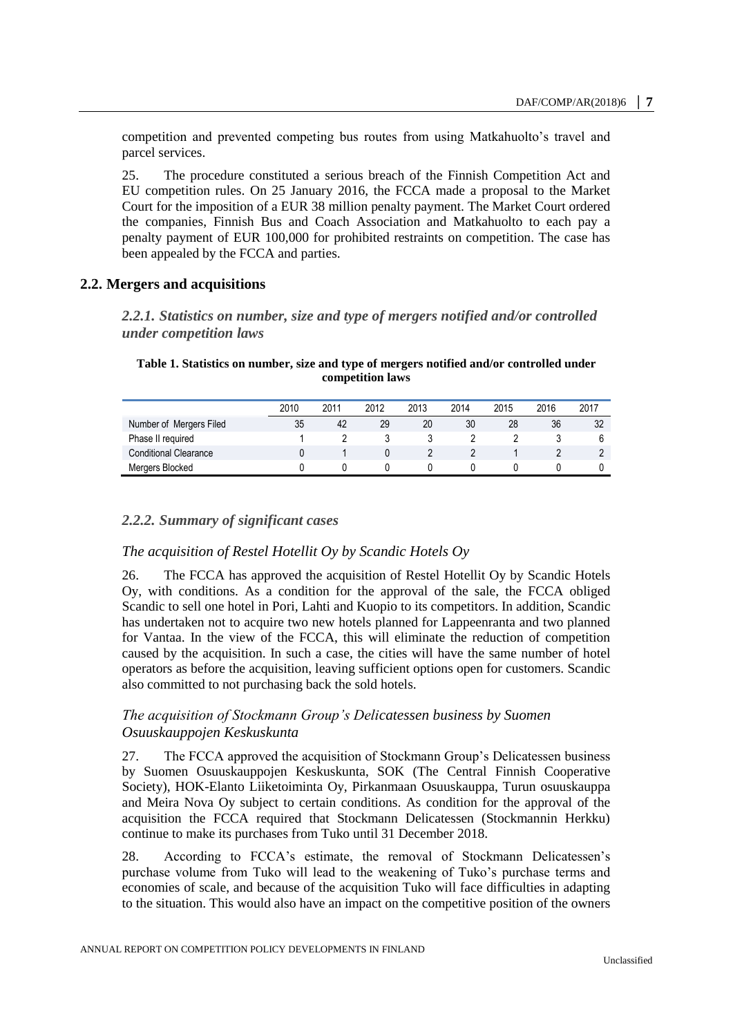competition and prevented competing bus routes from using Matkahuolto's travel and parcel services.

25. The procedure constituted a serious breach of the Finnish Competition Act and EU competition rules. On 25 January 2016, the FCCA made a proposal to the Market Court for the imposition of a EUR 38 million penalty payment. The Market Court ordered the companies, Finnish Bus and Coach Association and Matkahuolto to each pay a penalty payment of EUR 100,000 for prohibited restraints on competition. The case has been appealed by the FCCA and parties.

# <span id="page-6-0"></span>**2.2. Mergers and acquisitions**

*2.2.1. Statistics on number, size and type of mergers notified and/or controlled under competition laws*

#### <span id="page-6-1"></span>**Table 1. Statistics on number, size and type of mergers notified and/or controlled under competition laws**

|                              | 2010 | 2011 | 2012 | 2013 | 2014 | 2015 | 2016 | 2017 |
|------------------------------|------|------|------|------|------|------|------|------|
| Number of Mergers Filed      | 35   | 42   | 29   | 20   | 30   | 28   | 36   | 32   |
| Phase II required            |      |      |      |      |      |      |      |      |
| <b>Conditional Clearance</b> |      |      |      |      |      |      |      |      |
| Mergers Blocked              |      |      |      |      |      |      |      |      |

# *2.2.2. Summary of significant cases*

# *The acquisition of Restel Hotellit Oy by Scandic Hotels Oy*

26. The FCCA has approved the acquisition of Restel Hotellit Oy by Scandic Hotels Oy, with conditions. As a condition for the approval of the sale, the FCCA obliged Scandic to sell one hotel in Pori, Lahti and Kuopio to its competitors. In addition, Scandic has undertaken not to acquire two new hotels planned for Lappeenranta and two planned for Vantaa. In the view of the FCCA, this will eliminate the reduction of competition caused by the acquisition. In such a case, the cities will have the same number of hotel operators as before the acquisition, leaving sufficient options open for customers. Scandic also committed to not purchasing back the sold hotels.

# *The acquisition of Stockmann Group's Delicatessen business by Suomen Osuuskauppojen Keskuskunta*

27. The FCCA approved the acquisition of Stockmann Group's Delicatessen business by Suomen Osuuskauppojen Keskuskunta, SOK (The Central Finnish Cooperative Society), HOK-Elanto Liiketoiminta Oy, Pirkanmaan Osuuskauppa, Turun osuuskauppa and Meira Nova Oy subject to certain conditions. As condition for the approval of the acquisition the FCCA required that Stockmann Delicatessen (Stockmannin Herkku) continue to make its purchases from Tuko until 31 December 2018.

28. According to FCCA's estimate, the removal of Stockmann Delicatessen's purchase volume from Tuko will lead to the weakening of Tuko's purchase terms and economies of scale, and because of the acquisition Tuko will face difficulties in adapting to the situation. This would also have an impact on the competitive position of the owners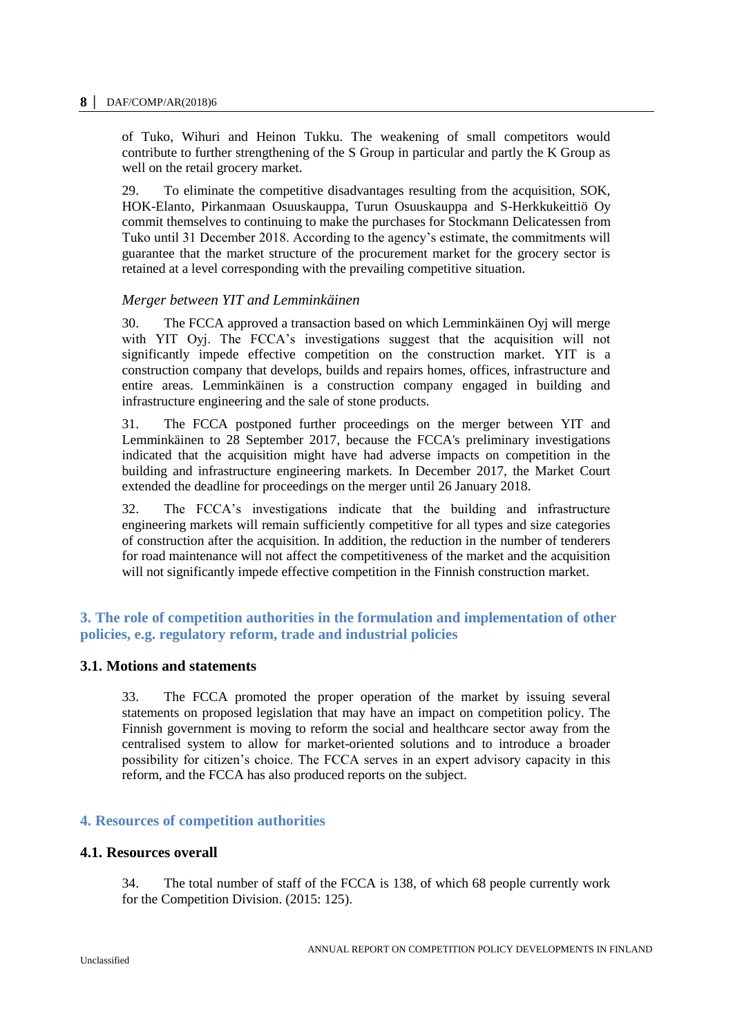of Tuko, Wihuri and Heinon Tukku. The weakening of small competitors would contribute to further strengthening of the S Group in particular and partly the K Group as well on the retail grocery market.

29. To eliminate the competitive disadvantages resulting from the acquisition, SOK, HOK-Elanto, Pirkanmaan Osuuskauppa, Turun Osuuskauppa and S-Herkkukeittiö Oy commit themselves to continuing to make the purchases for Stockmann Delicatessen from Tuko until 31 December 2018. According to the agency's estimate, the commitments will guarantee that the market structure of the procurement market for the grocery sector is retained at a level corresponding with the prevailing competitive situation.

# *Merger between YIT and Lemminkäinen*

30. The FCCA approved a transaction based on which Lemminkäinen Oyj will merge with YIT Oyj. The FCCA's investigations suggest that the acquisition will not significantly impede effective competition on the construction market. YIT is a construction company that develops, builds and repairs homes, offices, infrastructure and entire areas. Lemminkäinen is a construction company engaged in building and infrastructure engineering and the sale of stone products.

31. The FCCA postponed further proceedings on the merger between YIT and Lemminkäinen to 28 September 2017, because the FCCA's preliminary investigations indicated that the acquisition might have had adverse impacts on competition in the building and infrastructure engineering markets. In December 2017, the Market Court extended the deadline for proceedings on the merger until 26 January 2018.

32. The FCCA's investigations indicate that the building and infrastructure engineering markets will remain sufficiently competitive for all types and size categories of construction after the acquisition. In addition, the reduction in the number of tenderers for road maintenance will not affect the competitiveness of the market and the acquisition will not significantly impede effective competition in the Finnish construction market.

# <span id="page-7-0"></span>**3. The role of competition authorities in the formulation and implementation of other policies, e.g. regulatory reform, trade and industrial policies**

# <span id="page-7-1"></span>**3.1. Motions and statements**

33. The FCCA promoted the proper operation of the market by issuing several statements on proposed legislation that may have an impact on competition policy. The Finnish government is moving to reform the social and healthcare sector away from the centralised system to allow for market-oriented solutions and to introduce a broader possibility for citizen's choice. The FCCA serves in an expert advisory capacity in this reform, and the FCCA has also produced reports on the subject.

# <span id="page-7-2"></span>**4. Resources of competition authorities**

# <span id="page-7-3"></span>**4.1. Resources overall**

34. The total number of staff of the FCCA is 138, of which 68 people currently work for the Competition Division. (2015: 125).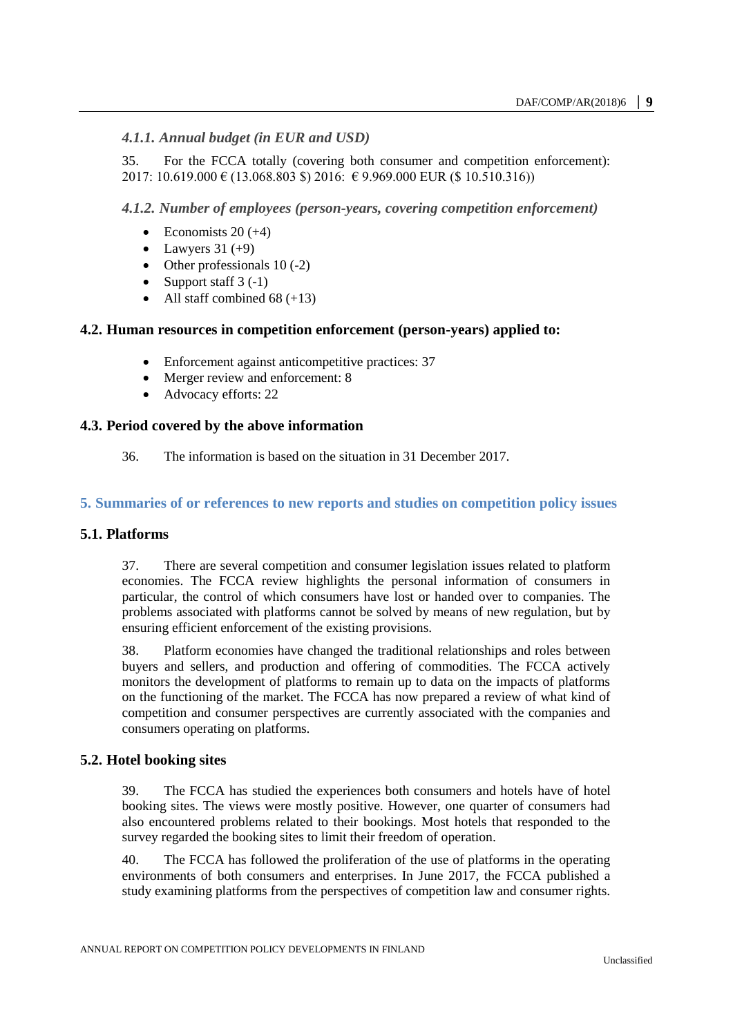# *4.1.1. Annual budget (in EUR and USD)*

35. For the FCCA totally (covering both consumer and competition enforcement): 2017: 10.619.000 € (13.068.803 \$) 2016:  $€$  9.969.000 EUR (\$ 10.510.316))

# *4.1.2. Number of employees (person-years, covering competition enforcement)*

- Economists  $20 (+4)$
- Lawyers  $31 (+9)$
- Other professionals  $10(-2)$
- Support staff 3 (-1)
- All staff combined 68 (+13)

# <span id="page-8-0"></span>**4.2. Human resources in competition enforcement (person-years) applied to:**

- Enforcement against anticompetitive practices: 37
- Merger review and enforcement: 8
- Advocacy efforts: 22

# <span id="page-8-1"></span>**4.3. Period covered by the above information**

36. The information is based on the situation in 31 December 2017.

# <span id="page-8-2"></span>**5. Summaries of or references to new reports and studies on competition policy issues**

# <span id="page-8-3"></span>**5.1. Platforms**

37. There are several competition and consumer legislation issues related to platform economies. The FCCA review highlights the personal information of consumers in particular, the control of which consumers have lost or handed over to companies. The problems associated with platforms cannot be solved by means of new regulation, but by ensuring efficient enforcement of the existing provisions.

38. Platform economies have changed the traditional relationships and roles between buyers and sellers, and production and offering of commodities. The FCCA actively monitors the development of platforms to remain up to data on the impacts of platforms on the functioning of the market. The FCCA has now prepared a review of what kind of competition and consumer perspectives are currently associated with the companies and consumers operating on platforms.

# <span id="page-8-4"></span>**5.2. Hotel booking sites**

39. The FCCA has studied the experiences both consumers and hotels have of hotel booking sites. The views were mostly positive. However, one quarter of consumers had also encountered problems related to their bookings. Most hotels that responded to the survey regarded the booking sites to limit their freedom of operation.

40. The FCCA has followed the proliferation of the use of platforms in the operating environments of both consumers and enterprises. In June 2017, the FCCA published a study examining platforms from the perspectives of competition law and consumer rights.